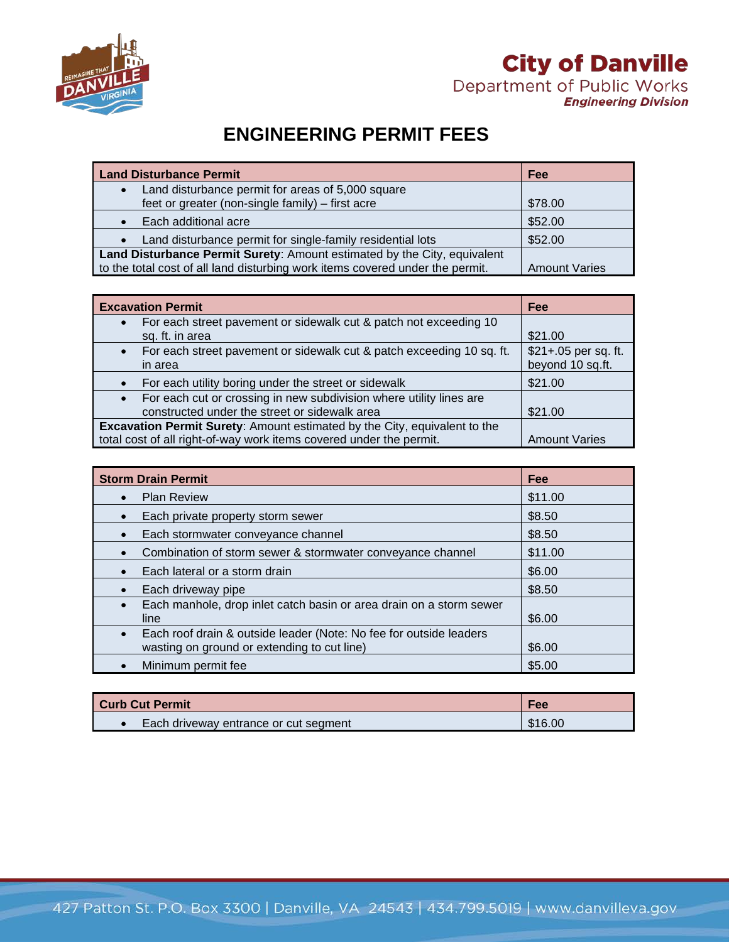

## **City of Danville** Department of Public Works

**Engineering Division** 

## **ENGINEERING PERMIT FEES**

| <b>Land Disturbance Permit</b>                                                | Fee                  |
|-------------------------------------------------------------------------------|----------------------|
| Land disturbance permit for areas of 5,000 square                             |                      |
| feet or greater (non-single family) - first acre                              | \$78.00              |
| Each additional acre                                                          | \$52.00              |
| Land disturbance permit for single-family residential lots                    | \$52.00              |
| Land Disturbance Permit Surety: Amount estimated by the City, equivalent      |                      |
| to the total cost of all land disturbing work items covered under the permit. | <b>Amount Varies</b> |

| <b>Excavation Permit</b>                                                                                             | Fee                                      |
|----------------------------------------------------------------------------------------------------------------------|------------------------------------------|
| For each street pavement or sidewalk cut & patch not exceeding 10<br>sq. ft. in area                                 | \$21.00                                  |
| For each street pavement or sidewalk cut & patch exceeding 10 sq. ft.<br>in area                                     | \$21+.05 per sq. ft.<br>beyond 10 sq.ft. |
| For each utility boring under the street or sidewalk                                                                 | \$21.00                                  |
| For each cut or crossing in new subdivision where utility lines are<br>constructed under the street or sidewalk area | \$21.00                                  |
| Excavation Permit Surety: Amount estimated by the City, equivalent to the                                            |                                          |
| total cost of all right-of-way work items covered under the permit.                                                  | <b>Amount Varies</b>                     |

| <b>Storm Drain Permit</b>                                                                                                      | Fee     |
|--------------------------------------------------------------------------------------------------------------------------------|---------|
| <b>Plan Review</b>                                                                                                             | \$11.00 |
| Each private property storm sewer                                                                                              | \$8.50  |
| Each stormwater conveyance channel                                                                                             | \$8.50  |
| Combination of storm sewer & stormwater conveyance channel                                                                     | \$11.00 |
| Each lateral or a storm drain                                                                                                  | \$6.00  |
| Each driveway pipe                                                                                                             | \$8.50  |
| Each manhole, drop inlet catch basin or area drain on a storm sewer<br>line                                                    | \$6.00  |
| Each roof drain & outside leader (Note: No fee for outside leaders<br>$\bullet$<br>wasting on ground or extending to cut line) | \$6.00  |
| Minimum permit fee                                                                                                             | \$5.00  |

| Curb Cut Permit                       | Fee     |
|---------------------------------------|---------|
| Each driveway entrance or cut segment | \$16.00 |